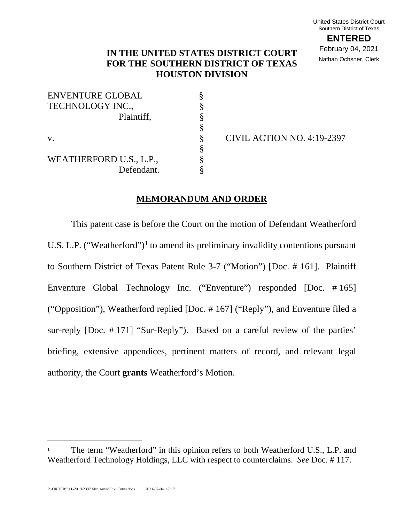**ENTERED** February 04, 2021 Nathan Ochsner, Clerk

# **IN THE UNITED STATES DISTRICT COURT FOR THE SOUTHERN DISTRICT OF TEXAS HOUSTON DIVISION**

| <b>ENVENTURE GLOBAL</b> |  |
|-------------------------|--|
| TECHNOLOGY INC.,        |  |
| Plaintiff,              |  |
|                         |  |
| $V_{-}$                 |  |
|                         |  |
| WEATHERFORD U.S., L.P., |  |
| Defendant.              |  |

 $\text{\$}$  CIVIL ACTION NO. 4:19-2397

#### **MEMORANDUM AND ORDER**

This patent case is before the Court on the motion of Defendant Weatherford U.S. L.P. ("Weatherford")<sup>1</sup> to amend its preliminary invalidity contentions pursuant to Southern District of Texas Patent Rule 3-7 ("Motion") [Doc. # 161]. Plaintiff Enventure Global Technology Inc. ("Enventure") responded [Doc. # 165] ("Opposition"), Weatherford replied [Doc. # 167] ("Reply"), and Enventure filed a sur-reply [Doc. # 171] "Sur-Reply"). Based on a careful review of the parties' briefing, extensive appendices, pertinent matters of record, and relevant legal authority, the Court **grants** Weatherford's Motion.

<sup>1</sup> The term "Weatherford" in this opinion refers to both Weatherford U.S., L.P. and Weatherford Technology Holdings, LLC with respect to counterclaims. *See* Doc. # 117.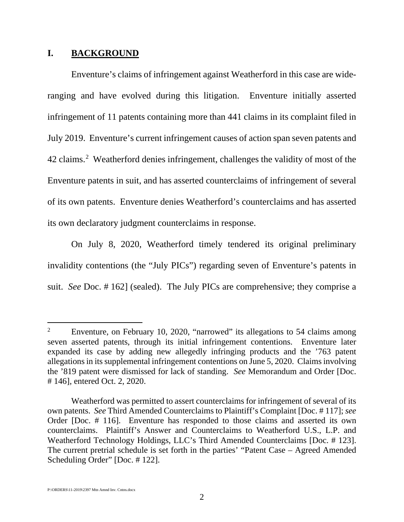## **I. BACKGROUND**

Enventure's claims of infringement against Weatherford in this case are wideranging and have evolved during this litigation. Enventure initially asserted infringement of 11 patents containing more than 441 claims in its complaint filed in July 2019. Enventure's current infringement causes of action span seven patents and 42 claims.<sup>2</sup> Weatherford denies infringement, challenges the validity of most of the Enventure patents in suit, and has asserted counterclaims of infringement of several of its own patents. Enventure denies Weatherford's counterclaims and has asserted its own declaratory judgment counterclaims in response.

On July 8, 2020, Weatherford timely tendered its original preliminary invalidity contentions (the "July PICs") regarding seven of Enventure's patents in suit. *See* Doc. # 162] (sealed). The July PICs are comprehensive; they comprise a

<sup>2</sup> Enventure, on February 10, 2020, "narrowed" its allegations to 54 claims among seven asserted patents, through its initial infringement contentions. Enventure later expanded its case by adding new allegedly infringing products and the '763 patent allegations in its supplemental infringement contentions on June 5, 2020. Claims involving the '819 patent were dismissed for lack of standing. *See* Memorandum and Order [Doc. # 146], entered Oct. 2, 2020.

Weatherford was permitted to assert counterclaims for infringement of several of its own patents. *See* Third Amended Counterclaims to Plaintiff's Complaint [Doc. # 117]; *see* Order [Doc. # 116]. Enventure has responded to those claims and asserted its own counterclaims. Plaintiff's Answer and Counterclaims to Weatherford U.S., L.P. and Weatherford Technology Holdings, LLC's Third Amended Counterclaims [Doc. # 123]. The current pretrial schedule is set forth in the parties' "Patent Case – Agreed Amended Scheduling Order" [Doc. # 122].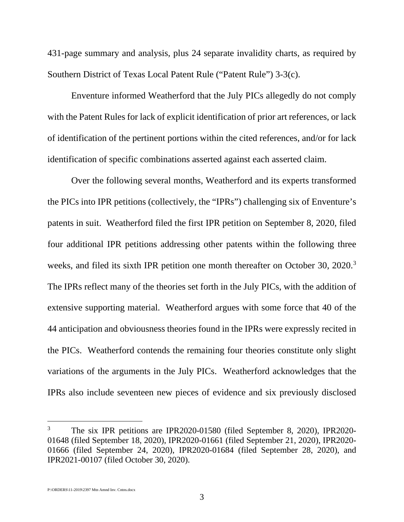431-page summary and analysis, plus 24 separate invalidity charts, as required by Southern District of Texas Local Patent Rule ("Patent Rule") 3-3(c).

Enventure informed Weatherford that the July PICs allegedly do not comply with the Patent Rules for lack of explicit identification of prior art references, or lack of identification of the pertinent portions within the cited references, and/or for lack identification of specific combinations asserted against each asserted claim.

Over the following several months, Weatherford and its experts transformed the PICs into IPR petitions (collectively, the "IPRs") challenging six of Enventure's patents in suit. Weatherford filed the first IPR petition on September 8, 2020, filed four additional IPR petitions addressing other patents within the following three weeks, and filed its sixth IPR petition one month thereafter on October 30, 2020.<sup>3</sup> The IPRs reflect many of the theories set forth in the July PICs, with the addition of extensive supporting material. Weatherford argues with some force that 40 of the 44 anticipation and obviousness theories found in the IPRs were expressly recited in the PICs. Weatherford contends the remaining four theories constitute only slight variations of the arguments in the July PICs. Weatherford acknowledges that the IPRs also include seventeen new pieces of evidence and six previously disclosed

<sup>3</sup> The six IPR petitions are IPR2020-01580 (filed September 8, 2020), IPR2020- 01648 (filed September 18, 2020), IPR2020-01661 (filed September 21, 2020), IPR2020- 01666 (filed September 24, 2020), IPR2020-01684 (filed September 28, 2020), and IPR2021-00107 (filed October 30, 2020).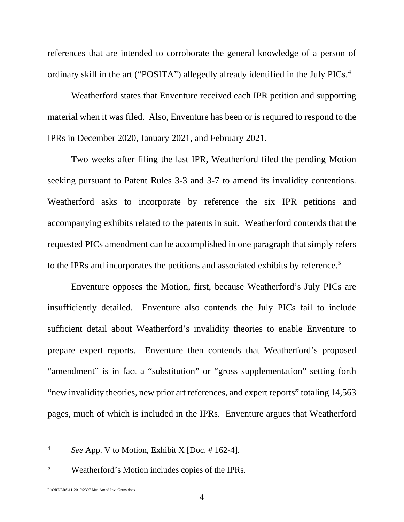references that are intended to corroborate the general knowledge of a person of ordinary skill in the art ("POSITA") allegedly already identified in the July PICs.<sup>4</sup>

Weatherford states that Enventure received each IPR petition and supporting material when it was filed. Also, Enventure has been or is required to respond to the IPRs in December 2020, January 2021, and February 2021.

Two weeks after filing the last IPR, Weatherford filed the pending Motion seeking pursuant to Patent Rules 3-3 and 3-7 to amend its invalidity contentions. Weatherford asks to incorporate by reference the six IPR petitions and accompanying exhibits related to the patents in suit. Weatherford contends that the requested PICs amendment can be accomplished in one paragraph that simply refers to the IPRs and incorporates the petitions and associated exhibits by reference.<sup>5</sup>

Enventure opposes the Motion, first, because Weatherford's July PICs are insufficiently detailed. Enventure also contends the July PICs fail to include sufficient detail about Weatherford's invalidity theories to enable Enventure to prepare expert reports. Enventure then contends that Weatherford's proposed "amendment" is in fact a "substitution" or "gross supplementation" setting forth "new invalidity theories, new prior art references, and expert reports" totaling 14,563 pages, much of which is included in the IPRs. Enventure argues that Weatherford

<sup>4</sup> *See* App. V to Motion, Exhibit X [Doc. # 162-4].

<sup>5</sup> Weatherford's Motion includes copies of the IPRs.

P:\ORDERS\11-2019\2397 Mtn Amnd Inv. Cntns.docx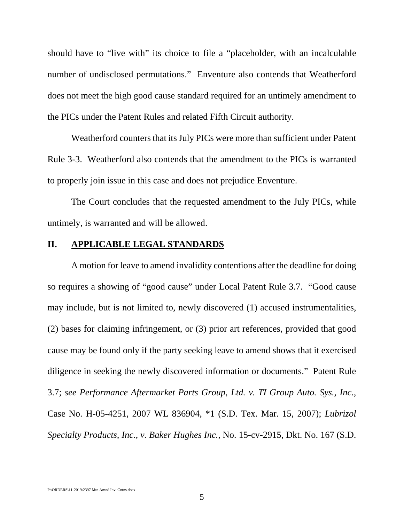should have to "live with" its choice to file a "placeholder, with an incalculable number of undisclosed permutations." Enventure also contends that Weatherford does not meet the high good cause standard required for an untimely amendment to the PICs under the Patent Rules and related Fifth Circuit authority.

Weatherford counters that its July PICs were more than sufficient under Patent Rule 3-3. Weatherford also contends that the amendment to the PICs is warranted to properly join issue in this case and does not prejudice Enventure.

The Court concludes that the requested amendment to the July PICs, while untimely, is warranted and will be allowed.

### **II. APPLICABLE LEGAL STANDARDS**

A motion for leave to amend invalidity contentions after the deadline for doing so requires a showing of "good cause" under Local Patent Rule 3.7. "Good cause may include, but is not limited to, newly discovered (1) accused instrumentalities, (2) bases for claiming infringement, or (3) prior art references, provided that good cause may be found only if the party seeking leave to amend shows that it exercised diligence in seeking the newly discovered information or documents." Patent Rule 3.7; *see Performance Aftermarket Parts Group, Ltd. v. TI Group Auto. Sys., Inc.*, Case No. H-05-4251, 2007 WL 836904, \*1 (S.D. Tex. Mar. 15, 2007); *Lubrizol Specialty Products, Inc., v. Baker Hughes Inc.,* No. 15-cv-2915, Dkt. No. 167 (S.D.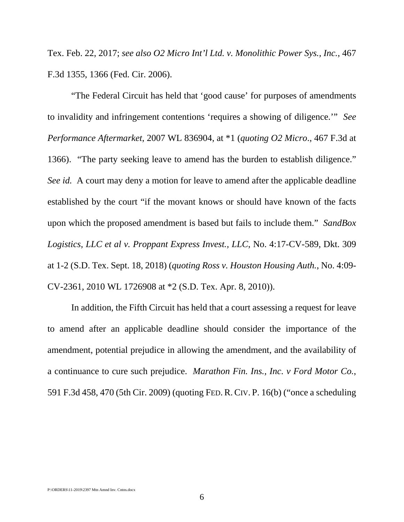Tex. Feb. 22, 2017; *see also O2 Micro Int'l Ltd. v. Monolithic Power Sys., Inc.*, 467 F.3d 1355, 1366 (Fed. Cir. 2006).

"The Federal Circuit has held that 'good cause' for purposes of amendments to invalidity and infringement contentions 'requires a showing of diligence.'" *See Performance Aftermarket*, 2007 WL 836904, at \*1 (*quoting O2 Micro*., 467 F.3d at 1366). "The party seeking leave to amend has the burden to establish diligence." *See id.* A court may deny a motion for leave to amend after the applicable deadline established by the court "if the movant knows or should have known of the facts upon which the proposed amendment is based but fails to include them." *SandBox Logistics, LLC et al v. Proppant Express Invest., LLC*, No. 4:17-CV-589, Dkt. 309 at 1-2 (S.D. Tex. Sept. 18, 2018) (*quoting Ross v. Houston Housing Auth.*, No. 4:09- CV-2361, 2010 WL 1726908 at \*2 (S.D. Tex. Apr. 8, 2010)).

In addition, the Fifth Circuit has held that a court assessing a request for leave to amend after an applicable deadline should consider the importance of the amendment, potential prejudice in allowing the amendment, and the availability of a continuance to cure such prejudice. *Marathon Fin. Ins., Inc. v Ford Motor Co.*, 591 F.3d 458, 470 (5th Cir. 2009) (quoting FED. R. CIV. P. 16(b) ("once a scheduling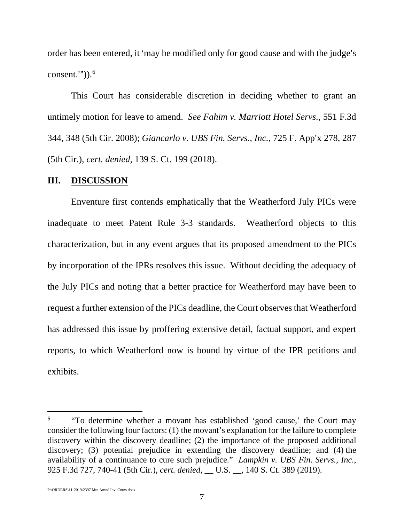order has been entered, it 'may be modified only for good cause and with the judge's consent."" $).<sup>6</sup>$ 

This Court has considerable discretion in deciding whether to grant an untimely motion for leave to amend. *See Fahim v. Marriott Hotel Servs.*, 551 F.3d 344, 348 (5th Cir. 2008); *Giancarlo v. UBS Fin. Servs., Inc.*, 725 F. App'x 278, 287 (5th Cir.), *cert. denied*, 139 S. Ct. 199 (2018).

#### **III. DISCUSSION**

Enventure first contends emphatically that the Weatherford July PICs were inadequate to meet Patent Rule 3-3 standards. Weatherford objects to this characterization, but in any event argues that its proposed amendment to the PICs by incorporation of the IPRs resolves this issue. Without deciding the adequacy of the July PICs and noting that a better practice for Weatherford may have been to request a further extension of the PICs deadline, the Court observes that Weatherford has addressed this issue by proffering extensive detail, factual support, and expert reports, to which Weatherford now is bound by virtue of the IPR petitions and exhibits.

<sup>6</sup> "To determine whether a movant has established 'good cause,' the Court may consider the following four factors: (1) the movant's explanation for the failure to complete discovery within the discovery deadline; (2) the importance of the proposed additional discovery; (3) potential prejudice in extending the discovery deadline; and (4) the availability of a continuance to cure such prejudice." *Lampkin v. UBS Fin. Servs., Inc.*, 925 F.3d 727, 740-41 (5th Cir.), *cert. denied*, \_\_ U.S. \_\_, 140 S. Ct. 389 (2019).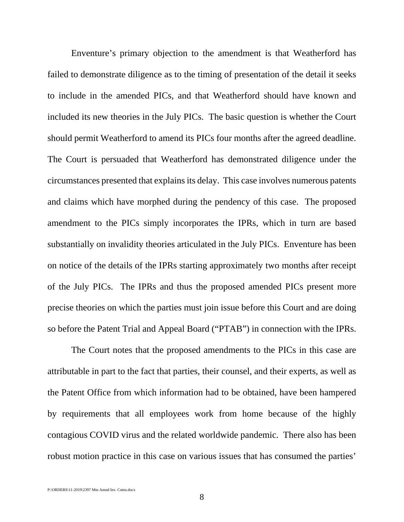Enventure's primary objection to the amendment is that Weatherford has failed to demonstrate diligence as to the timing of presentation of the detail it seeks to include in the amended PICs, and that Weatherford should have known and included its new theories in the July PICs. The basic question is whether the Court should permit Weatherford to amend its PICs four months after the agreed deadline. The Court is persuaded that Weatherford has demonstrated diligence under the circumstances presented that explainsits delay. This case involves numerous patents and claims which have morphed during the pendency of this case. The proposed amendment to the PICs simply incorporates the IPRs, which in turn are based substantially on invalidity theories articulated in the July PICs. Enventure has been on notice of the details of the IPRs starting approximately two months after receipt of the July PICs. The IPRs and thus the proposed amended PICs present more precise theories on which the parties must join issue before this Court and are doing so before the Patent Trial and Appeal Board ("PTAB") in connection with the IPRs.

The Court notes that the proposed amendments to the PICs in this case are attributable in part to the fact that parties, their counsel, and their experts, as well as the Patent Office from which information had to be obtained, have been hampered by requirements that all employees work from home because of the highly contagious COVID virus and the related worldwide pandemic. There also has been robust motion practice in this case on various issues that has consumed the parties'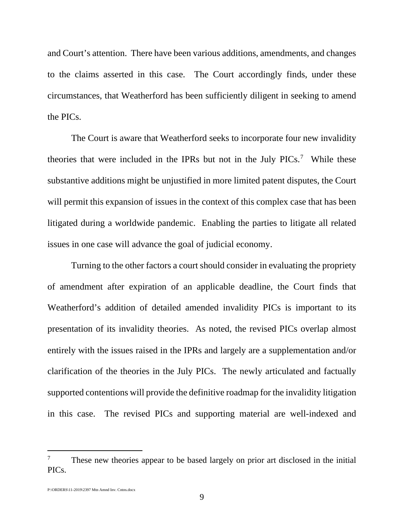and Court's attention. There have been various additions, amendments, and changes to the claims asserted in this case. The Court accordingly finds, under these circumstances, that Weatherford has been sufficiently diligent in seeking to amend the PICs.

The Court is aware that Weatherford seeks to incorporate four new invalidity theories that were included in the IPRs but not in the July PICs.<sup>7</sup> While these substantive additions might be unjustified in more limited patent disputes, the Court will permit this expansion of issues in the context of this complex case that has been litigated during a worldwide pandemic. Enabling the parties to litigate all related issues in one case will advance the goal of judicial economy.

Turning to the other factors a court should consider in evaluating the propriety of amendment after expiration of an applicable deadline, the Court finds that Weatherford's addition of detailed amended invalidity PICs is important to its presentation of its invalidity theories. As noted, the revised PICs overlap almost entirely with the issues raised in the IPRs and largely are a supplementation and/or clarification of the theories in the July PICs. The newly articulated and factually supported contentions will provide the definitive roadmap for the invalidity litigation in this case. The revised PICs and supporting material are well-indexed and

<sup>7</sup> These new theories appear to be based largely on prior art disclosed in the initial PICs.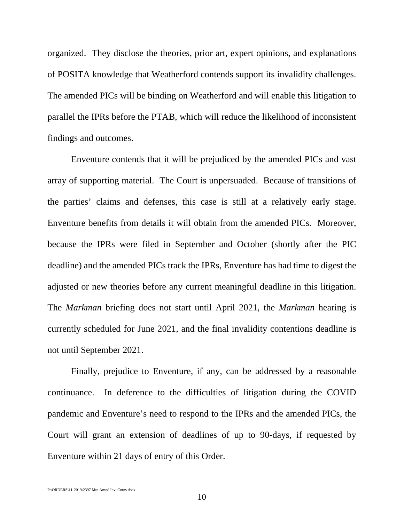organized. They disclose the theories, prior art, expert opinions, and explanations of POSITA knowledge that Weatherford contends support its invalidity challenges. The amended PICs will be binding on Weatherford and will enable this litigation to parallel the IPRs before the PTAB, which will reduce the likelihood of inconsistent findings and outcomes.

Enventure contends that it will be prejudiced by the amended PICs and vast array of supporting material. The Court is unpersuaded. Because of transitions of the parties' claims and defenses, this case is still at a relatively early stage. Enventure benefits from details it will obtain from the amended PICs. Moreover, because the IPRs were filed in September and October (shortly after the PIC deadline) and the amended PICs track the IPRs, Enventure has had time to digest the adjusted or new theories before any current meaningful deadline in this litigation. The *Markman* briefing does not start until April 2021, the *Markman* hearing is currently scheduled for June 2021, and the final invalidity contentions deadline is not until September 2021.

Finally, prejudice to Enventure, if any, can be addressed by a reasonable continuance. In deference to the difficulties of litigation during the COVID pandemic and Enventure's need to respond to the IPRs and the amended PICs, the Court will grant an extension of deadlines of up to 90-days, if requested by Enventure within 21 days of entry of this Order.